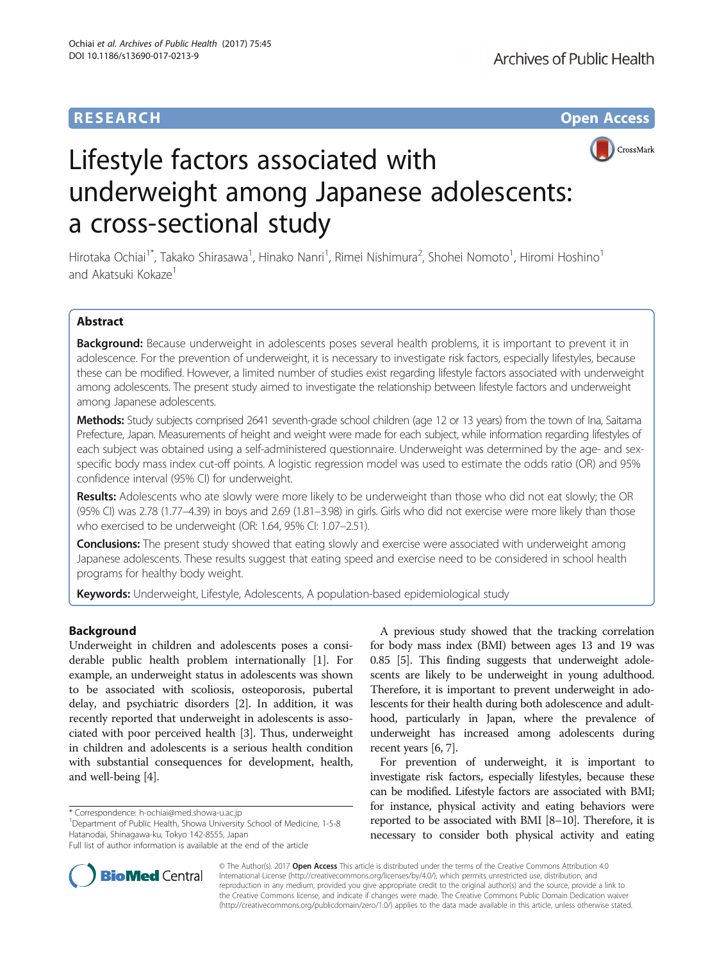# **RESEARCH CHE Open Access**



# Lifestyle factors associated with underweight among Japanese adolescents: a cross-sectional study

Hirotaka Ochiai<sup>1\*</sup>, Takako Shirasawa<sup>1</sup>, Hinako Nanri<sup>1</sup>, Rimei Nishimura<sup>2</sup>, Shohei Nomoto<sup>1</sup>, Hiromi Hoshino<sup>1</sup> and Akatsuki Kokaze<sup>1</sup>

## Abstract

Background: Because underweight in adolescents poses several health problems, it is important to prevent it in adolescence. For the prevention of underweight, it is necessary to investigate risk factors, especially lifestyles, because these can be modified. However, a limited number of studies exist regarding lifestyle factors associated with underweight among adolescents. The present study aimed to investigate the relationship between lifestyle factors and underweight among Japanese adolescents.

Methods: Study subjects comprised 2641 seventh-grade school children (age 12 or 13 years) from the town of Ina, Saitama Prefecture, Japan. Measurements of height and weight were made for each subject, while information regarding lifestyles of each subject was obtained using a self-administered questionnaire. Underweight was determined by the age- and sexspecific body mass index cut-off points. A logistic regression model was used to estimate the odds ratio (OR) and 95% confidence interval (95% CI) for underweight.

Results: Adolescents who ate slowly were more likely to be underweight than those who did not eat slowly; the OR (95% CI) was 2.78 (1.77–4.39) in boys and 2.69 (1.81–3.98) in girls. Girls who did not exercise were more likely than those who exercised to be underweight (OR: 1.64, 95% CI: 1.07–2.51).

**Conclusions:** The present study showed that eating slowly and exercise were associated with underweight among Japanese adolescents. These results suggest that eating speed and exercise need to be considered in school health programs for healthy body weight.

Keywords: Underweight, Lifestyle, Adolescents, A population-based epidemiological study

## Background

Underweight in children and adolescents poses a considerable public health problem internationally [[1](#page-7-0)]. For example, an underweight status in adolescents was shown to be associated with scoliosis, osteoporosis, pubertal delay, and psychiatric disorders [[2](#page-7-0)]. In addition, it was recently reported that underweight in adolescents is associated with poor perceived health [\[3](#page-7-0)]. Thus, underweight in children and adolescents is a serious health condition with substantial consequences for development, health, and well-being [\[4\]](#page-7-0).

A previous study showed that the tracking correlation for body mass index (BMI) between ages 13 and 19 was 0.85 [\[5](#page-7-0)]. This finding suggests that underweight adolescents are likely to be underweight in young adulthood. Therefore, it is important to prevent underweight in adolescents for their health during both adolescence and adulthood, particularly in Japan, where the prevalence of underweight has increased among adolescents during recent years [[6](#page-7-0), [7\]](#page-7-0).

For prevention of underweight, it is important to investigate risk factors, especially lifestyles, because these can be modified. Lifestyle factors are associated with BMI; for instance, physical activity and eating behaviors were reported to be associated with BMI [\[8](#page-7-0)–[10\]](#page-7-0). Therefore, it is necessary to consider both physical activity and eating



© The Author(s). 2017 **Open Access** This article is distributed under the terms of the Creative Commons Attribution 4.0 International License [\(http://creativecommons.org/licenses/by/4.0/](http://creativecommons.org/licenses/by/4.0/)), which permits unrestricted use, distribution, and reproduction in any medium, provided you give appropriate credit to the original author(s) and the source, provide a link to the Creative Commons license, and indicate if changes were made. The Creative Commons Public Domain Dedication waiver [\(http://creativecommons.org/publicdomain/zero/1.0/](http://creativecommons.org/publicdomain/zero/1.0/)) applies to the data made available in this article, unless otherwise stated.

<sup>\*</sup> Correspondence: [h-ochiai@med.showa-u.ac.jp](mailto:h-ochiai@med.showa-u.ac.jp) <sup>1</sup>

<sup>&</sup>lt;sup>1</sup>Department of Public Health, Showa University School of Medicine, 1-5-8 Hatanodai, Shinagawa-ku, Tokyo 142-8555, Japan

Full list of author information is available at the end of the article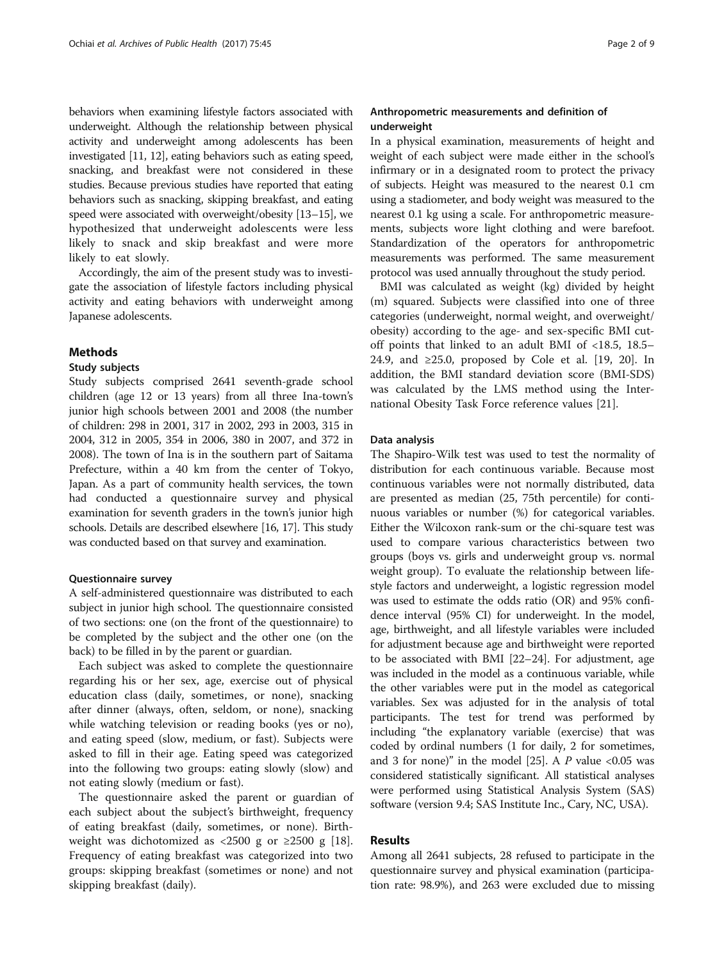behaviors when examining lifestyle factors associated with underweight. Although the relationship between physical activity and underweight among adolescents has been investigated [\[11, 12\]](#page-7-0), eating behaviors such as eating speed, snacking, and breakfast were not considered in these studies. Because previous studies have reported that eating behaviors such as snacking, skipping breakfast, and eating speed were associated with overweight/obesity [[13](#page-7-0)–[15](#page-7-0)], we hypothesized that underweight adolescents were less likely to snack and skip breakfast and were more likely to eat slowly.

Accordingly, the aim of the present study was to investigate the association of lifestyle factors including physical activity and eating behaviors with underweight among Japanese adolescents.

## Methods

## Study subjects

Study subjects comprised 2641 seventh-grade school children (age 12 or 13 years) from all three Ina-town's junior high schools between 2001 and 2008 (the number of children: 298 in 2001, 317 in 2002, 293 in 2003, 315 in 2004, 312 in 2005, 354 in 2006, 380 in 2007, and 372 in 2008). The town of Ina is in the southern part of Saitama Prefecture, within a 40 km from the center of Tokyo, Japan. As a part of community health services, the town had conducted a questionnaire survey and physical examination for seventh graders in the town's junior high schools. Details are described elsewhere [\[16](#page-7-0), [17\]](#page-7-0). This study was conducted based on that survey and examination.

#### Questionnaire survey

A self-administered questionnaire was distributed to each subject in junior high school. The questionnaire consisted of two sections: one (on the front of the questionnaire) to be completed by the subject and the other one (on the back) to be filled in by the parent or guardian.

Each subject was asked to complete the questionnaire regarding his or her sex, age, exercise out of physical education class (daily, sometimes, or none), snacking after dinner (always, often, seldom, or none), snacking while watching television or reading books (yes or no), and eating speed (slow, medium, or fast). Subjects were asked to fill in their age. Eating speed was categorized into the following two groups: eating slowly (slow) and not eating slowly (medium or fast).

The questionnaire asked the parent or guardian of each subject about the subject's birthweight, frequency of eating breakfast (daily, sometimes, or none). Birthweight was dichotomized as <2500 g or  $\geq$ 2500 g [\[18](#page-7-0)]. Frequency of eating breakfast was categorized into two groups: skipping breakfast (sometimes or none) and not skipping breakfast (daily).

## Anthropometric measurements and definition of underweight

In a physical examination, measurements of height and weight of each subject were made either in the school's infirmary or in a designated room to protect the privacy of subjects. Height was measured to the nearest 0.1 cm using a stadiometer, and body weight was measured to the nearest 0.1 kg using a scale. For anthropometric measurements, subjects wore light clothing and were barefoot. Standardization of the operators for anthropometric measurements was performed. The same measurement protocol was used annually throughout the study period.

BMI was calculated as weight (kg) divided by height (m) squared. Subjects were classified into one of three categories (underweight, normal weight, and overweight/ obesity) according to the age- and sex-specific BMI cutoff points that linked to an adult BMI of <18.5, 18.5– 24.9, and ≥25.0, proposed by Cole et al. [\[19, 20](#page-7-0)]. In addition, the BMI standard deviation score (BMI-SDS) was calculated by the LMS method using the International Obesity Task Force reference values [[21\]](#page-7-0).

#### Data analysis

The Shapiro-Wilk test was used to test the normality of distribution for each continuous variable. Because most continuous variables were not normally distributed, data are presented as median (25, 75th percentile) for continuous variables or number (%) for categorical variables. Either the Wilcoxon rank-sum or the chi-square test was used to compare various characteristics between two groups (boys vs. girls and underweight group vs. normal weight group). To evaluate the relationship between lifestyle factors and underweight, a logistic regression model was used to estimate the odds ratio (OR) and 95% confidence interval (95% CI) for underweight. In the model, age, birthweight, and all lifestyle variables were included for adjustment because age and birthweight were reported to be associated with BMI [\[22](#page-7-0)–[24](#page-7-0)]. For adjustment, age was included in the model as a continuous variable, while the other variables were put in the model as categorical variables. Sex was adjusted for in the analysis of total participants. The test for trend was performed by including "the explanatory variable (exercise) that was coded by ordinal numbers (1 for daily, 2 for sometimes, and 3 for none)" in the model [\[25\]](#page-7-0). A  $P$  value <0.05 was considered statistically significant. All statistical analyses were performed using Statistical Analysis System (SAS) software (version 9.4; SAS Institute Inc., Cary, NC, USA).

## Results

Among all 2641 subjects, 28 refused to participate in the questionnaire survey and physical examination (participation rate: 98.9%), and 263 were excluded due to missing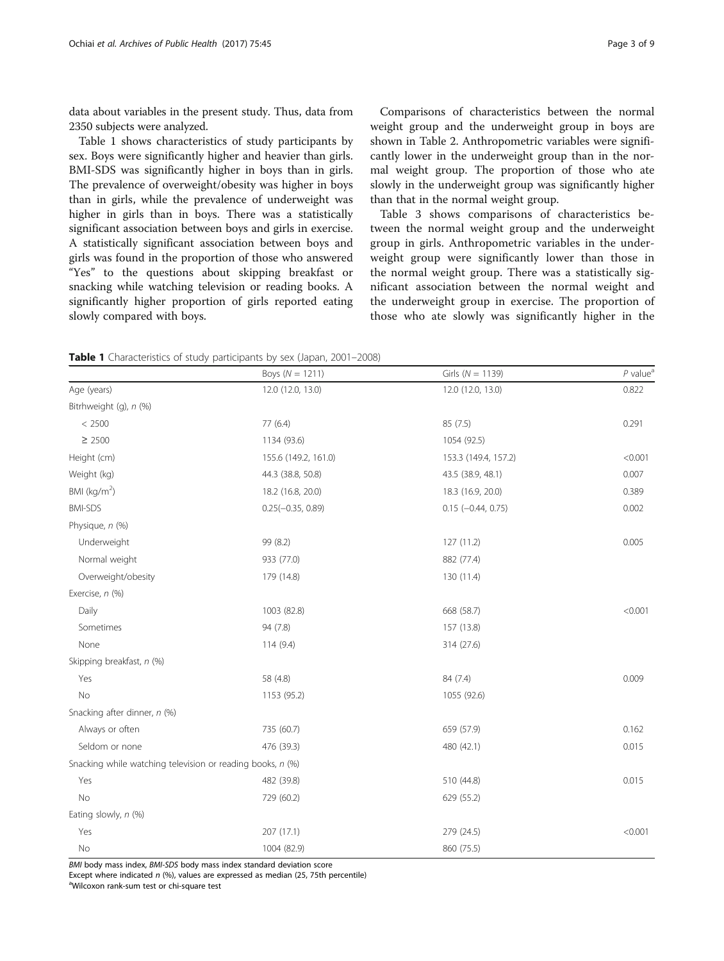data about variables in the present study. Thus, data from 2350 subjects were analyzed.

Table 1 shows characteristics of study participants by sex. Boys were significantly higher and heavier than girls. BMI-SDS was significantly higher in boys than in girls. The prevalence of overweight/obesity was higher in boys than in girls, while the prevalence of underweight was higher in girls than in boys. There was a statistically significant association between boys and girls in exercise. A statistically significant association between boys and girls was found in the proportion of those who answered "Yes" to the questions about skipping breakfast or snacking while watching television or reading books. A significantly higher proportion of girls reported eating slowly compared with boys.

Comparisons of characteristics between the normal weight group and the underweight group in boys are shown in Table [2](#page-3-0). Anthropometric variables were significantly lower in the underweight group than in the normal weight group. The proportion of those who ate slowly in the underweight group was significantly higher than that in the normal weight group.

Table [3](#page-4-0) shows comparisons of characteristics between the normal weight group and the underweight group in girls. Anthropometric variables in the underweight group were significantly lower than those in the normal weight group. There was a statistically significant association between the normal weight and the underweight group in exercise. The proportion of those who ate slowly was significantly higher in the

Table 1 Characteristics of study participants by sex (Japan, 2001–2008)

|                                                            | Boys ( $N = 1211$ )  | Girls ( $N = 1139$ ) | $P$ value <sup><math>\bar{e}</math></sup> |
|------------------------------------------------------------|----------------------|----------------------|-------------------------------------------|
| Age (years)                                                | 12.0 (12.0, 13.0)    | 12.0 (12.0, 13.0)    | 0.822                                     |
| Bitrhweight (g), n (%)                                     |                      |                      |                                           |
| < 2500                                                     | 77 (6.4)             | 85 (7.5)             | 0.291                                     |
| $\geq$ 2500                                                | 1134 (93.6)          | 1054 (92.5)          |                                           |
| Height (cm)                                                | 155.6 (149.2, 161.0) | 153.3 (149.4, 157.2) | < 0.001                                   |
| Weight (kg)                                                | 44.3 (38.8, 50.8)    | 43.5 (38.9, 48.1)    | 0.007                                     |
| BMI ( $kg/m2$ )                                            | 18.2 (16.8, 20.0)    | 18.3 (16.9, 20.0)    | 0.389                                     |
| <b>BMI-SDS</b>                                             | $0.25(-0.35, 0.89)$  | $0.15 (-0.44, 0.75)$ | 0.002                                     |
| Physique, n (%)                                            |                      |                      |                                           |
| Underweight                                                | 99 (8.2)             | 127 (11.2)           | 0.005                                     |
| Normal weight                                              | 933 (77.0)           | 882 (77.4)           |                                           |
| Overweight/obesity                                         | 179 (14.8)           | 130 (11.4)           |                                           |
| Exercise, n (%)                                            |                      |                      |                                           |
| Daily                                                      | 1003 (82.8)          | 668 (58.7)           | < 0.001                                   |
| Sometimes                                                  | 94 (7.8)             | 157 (13.8)           |                                           |
| None                                                       | 114(9.4)             | 314 (27.6)           |                                           |
| Skipping breakfast, n (%)                                  |                      |                      |                                           |
| Yes                                                        | 58 (4.8)             | 84 (7.4)             | 0.009                                     |
| No                                                         | 1153 (95.2)          | 1055 (92.6)          |                                           |
| Snacking after dinner, n (%)                               |                      |                      |                                           |
| Always or often                                            | 735 (60.7)           | 659 (57.9)           | 0.162                                     |
| Seldom or none                                             | 476 (39.3)           | 480 (42.1)           | 0.015                                     |
| Snacking while watching television or reading books, n (%) |                      |                      |                                           |
| Yes                                                        | 482 (39.8)           | 510 (44.8)           | 0.015                                     |
| No                                                         | 729 (60.2)           | 629 (55.2)           |                                           |
| Eating slowly, n (%)                                       |                      |                      |                                           |
| Yes                                                        | 207 (17.1)           | 279 (24.5)           | < 0.001                                   |
| No                                                         | 1004 (82.9)          | 860 (75.5)           |                                           |

BMI body mass index, BMI-SDS body mass index standard deviation score

Except where indicated n  $(96)$ , values are expressed as median (25, 75th percentile)

Wilcoxon rank-sum test or chi-square test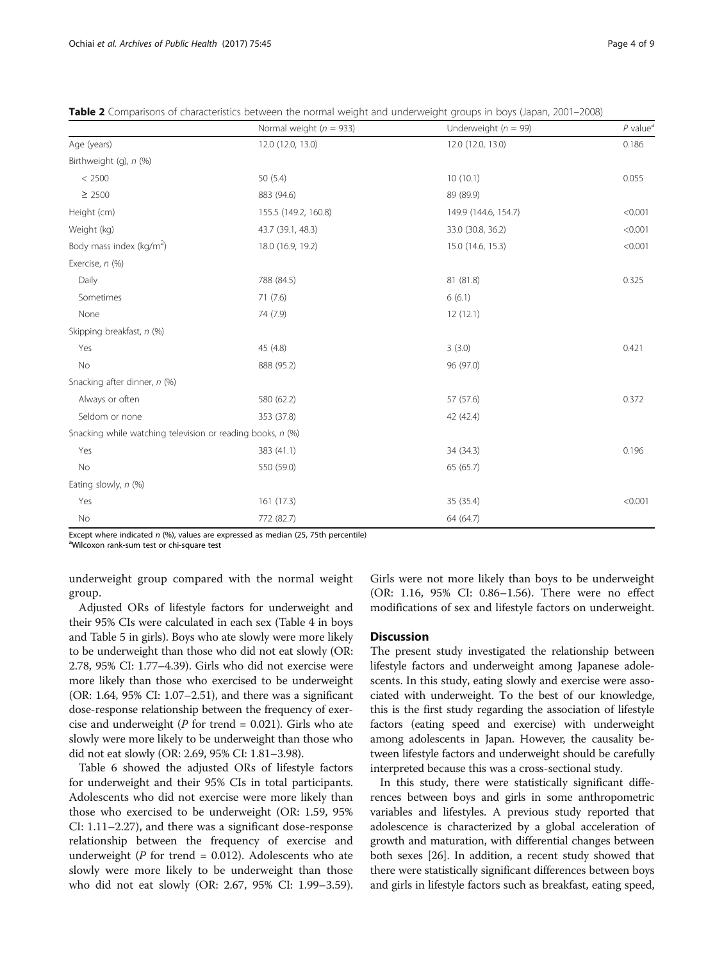<span id="page-3-0"></span>

| Table 2 Comparisons of characteristics between the normal weight and underweight groups in boys (Japan, 2001–2008) |  |  |  |  |
|--------------------------------------------------------------------------------------------------------------------|--|--|--|--|
|--------------------------------------------------------------------------------------------------------------------|--|--|--|--|

|                                                            | Normal weight ( $n = 933$ ) | Underweight ( $n = 99$ ) | $P$ value <sup>a</sup> |
|------------------------------------------------------------|-----------------------------|--------------------------|------------------------|
| Age (years)                                                | 12.0 (12.0, 13.0)           | 12.0 (12.0, 13.0)        | 0.186                  |
| Birthweight (g), n (%)                                     |                             |                          |                        |
| < 2500                                                     | 50 $(5.4)$                  | 10(10.1)                 | 0.055                  |
| $\geq$ 2500                                                | 883 (94.6)                  | 89 (89.9)                |                        |
| Height (cm)                                                | 155.5 (149.2, 160.8)        | 149.9 (144.6, 154.7)     | < 0.001                |
| Weight (kg)                                                | 43.7 (39.1, 48.3)           | 33.0 (30.8, 36.2)        | < 0.001                |
| Body mass index (kg/m <sup>2</sup> )                       | 18.0 (16.9, 19.2)           | 15.0 (14.6, 15.3)        | < 0.001                |
| Exercise, n (%)                                            |                             |                          |                        |
| Daily                                                      | 788 (84.5)                  | 81 (81.8)                | 0.325                  |
| Sometimes                                                  | 71(7.6)                     | 6(6.1)                   |                        |
| None                                                       | 74 (7.9)                    | 12(12.1)                 |                        |
| Skipping breakfast, n (%)                                  |                             |                          |                        |
| Yes                                                        | 45 (4.8)                    | 3(3.0)                   | 0.421                  |
| <b>No</b>                                                  | 888 (95.2)                  | 96 (97.0)                |                        |
| Snacking after dinner, n (%)                               |                             |                          |                        |
| Always or often                                            | 580 (62.2)                  | 57 (57.6)                | 0.372                  |
| Seldom or none                                             | 353 (37.8)                  | 42 (42.4)                |                        |
| Snacking while watching television or reading books, n (%) |                             |                          |                        |
| Yes                                                        | 383 (41.1)                  | 34 (34.3)                | 0.196                  |
| No                                                         | 550 (59.0)                  | 65 (65.7)                |                        |
| Eating slowly, n (%)                                       |                             |                          |                        |
| Yes                                                        | 161 (17.3)                  | 35 (35.4)                | < 0.001                |
| No                                                         | 772 (82.7)                  | 64 (64.7)                |                        |

Except where indicated  $n$  (%), values are expressed as median (25, 75th percentile)

<sup>a</sup>Wilcoxon rank-sum test or chi-square test

underweight group compared with the normal weight group.

Adjusted ORs of lifestyle factors for underweight and their 95% CIs were calculated in each sex (Table [4](#page-4-0) in boys and Table [5](#page-5-0) in girls). Boys who ate slowly were more likely to be underweight than those who did not eat slowly (OR: 2.78, 95% CI: 1.77–4.39). Girls who did not exercise were more likely than those who exercised to be underweight (OR: 1.64, 95% CI: 1.07–2.51), and there was a significant dose-response relationship between the frequency of exercise and underweight ( $P$  for trend = 0.021). Girls who ate slowly were more likely to be underweight than those who did not eat slowly (OR: 2.69, 95% CI: 1.81–3.98).

Table [6](#page-5-0) showed the adjusted ORs of lifestyle factors for underweight and their 95% CIs in total participants. Adolescents who did not exercise were more likely than those who exercised to be underweight (OR: 1.59, 95% CI: 1.11–2.27), and there was a significant dose-response relationship between the frequency of exercise and underweight ( $P$  for trend = 0.012). Adolescents who ate slowly were more likely to be underweight than those who did not eat slowly (OR: 2.67, 95% CI: 1.99–3.59). Girls were not more likely than boys to be underweight (OR: 1.16, 95% CI: 0.86–1.56). There were no effect modifications of sex and lifestyle factors on underweight.

## **Discussion**

The present study investigated the relationship between lifestyle factors and underweight among Japanese adolescents. In this study, eating slowly and exercise were associated with underweight. To the best of our knowledge, this is the first study regarding the association of lifestyle factors (eating speed and exercise) with underweight among adolescents in Japan. However, the causality between lifestyle factors and underweight should be carefully interpreted because this was a cross-sectional study.

In this study, there were statistically significant differences between boys and girls in some anthropometric variables and lifestyles. A previous study reported that adolescence is characterized by a global acceleration of growth and maturation, with differential changes between both sexes [\[26\]](#page-7-0). In addition, a recent study showed that there were statistically significant differences between boys and girls in lifestyle factors such as breakfast, eating speed,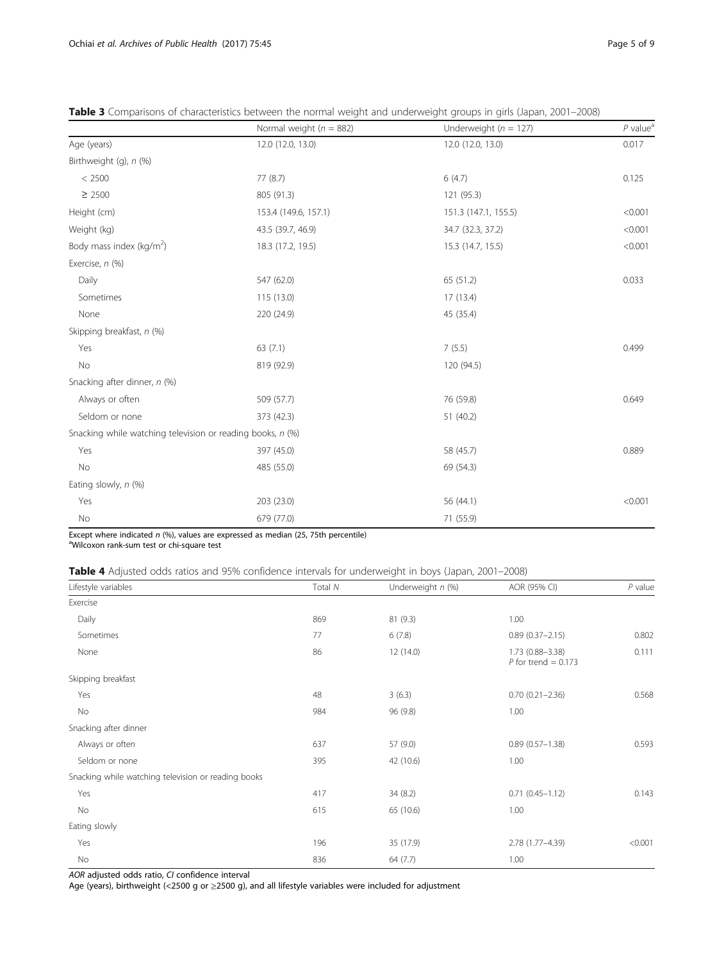|                                                            | Normal weight ( $n = 882$ ) | Underweight ( $n = 127$ ) | $P$ value <sup><math>a</math></sup> |  |
|------------------------------------------------------------|-----------------------------|---------------------------|-------------------------------------|--|
| Age (years)                                                | 12.0 (12.0, 13.0)           | 12.0 (12.0, 13.0)         | 0.017                               |  |
| Birthweight (g), n (%)                                     |                             |                           |                                     |  |
| < 2500                                                     | 77 (8.7)                    | 6(4.7)                    | 0.125                               |  |
| $\geq 2500$                                                | 805 (91.3)                  | 121 (95.3)                |                                     |  |
| Height (cm)                                                | 153.4 (149.6, 157.1)        | 151.3 (147.1, 155.5)      | < 0.001                             |  |
| Weight (kg)                                                | 43.5 (39.7, 46.9)           | 34.7 (32.3, 37.2)         | < 0.001                             |  |
| Body mass index (kg/m <sup>2</sup> )                       | 18.3 (17.2, 19.5)           | 15.3 (14.7, 15.5)         | < 0.001                             |  |
| Exercise, n (%)                                            |                             |                           |                                     |  |
| Daily                                                      | 547 (62.0)                  | 65 (51.2)                 | 0.033                               |  |
| Sometimes                                                  | 115 (13.0)                  | 17(13.4)                  |                                     |  |
| None                                                       | 220 (24.9)                  | 45 (35.4)                 |                                     |  |
| Skipping breakfast, n (%)                                  |                             |                           |                                     |  |
| Yes                                                        | 63(7.1)                     | 7(5.5)                    | 0.499                               |  |
| No                                                         | 819 (92.9)                  | 120 (94.5)                |                                     |  |
| Snacking after dinner, n (%)                               |                             |                           |                                     |  |
| Always or often                                            | 509 (57.7)                  | 76 (59.8)                 | 0.649                               |  |
| Seldom or none                                             | 373 (42.3)                  | 51 (40.2)                 |                                     |  |
| Snacking while watching television or reading books, n (%) |                             |                           |                                     |  |
| Yes                                                        | 397 (45.0)                  | 58 (45.7)                 | 0.889                               |  |
| No                                                         | 485 (55.0)                  | 69 (54.3)                 |                                     |  |
| Eating slowly, n (%)                                       |                             |                           |                                     |  |
| Yes                                                        | 203 (23.0)                  | 56 (44.1)                 | < 0.001                             |  |
| No                                                         | 679 (77.0)                  | 71 (55.9)                 |                                     |  |

<span id="page-4-0"></span>Table 3 Comparisons of characteristics between the normal weight and underweight groups in girls (Japan, 2001–2008)

Except where indicated  $n$  (%), values are expressed as median (25, 75th percentile)

Wilcoxon rank-sum test or chi-square test

Table 4 Adjusted odds ratios and 95% confidence intervals for underweight in boys (Japan, 2001–2008)

| Lifestyle variables                                 | Total N | Underweight n (%) | AOR (95% CI)                              | $P$ value |
|-----------------------------------------------------|---------|-------------------|-------------------------------------------|-----------|
| Exercise                                            |         |                   |                                           |           |
| Daily                                               | 869     | 81 (9.3)          | 1.00                                      |           |
| Sometimes                                           | 77      | 6(7.8)            | $0.89(0.37 - 2.15)$                       | 0.802     |
| None                                                | 86      | 12 (14.0)         | 1.73 (0.88-3.38)<br>P for trend = $0.173$ | 0.111     |
| Skipping breakfast                                  |         |                   |                                           |           |
| Yes                                                 | 48      | 3(6.3)            | $0.70(0.21 - 2.36)$                       | 0.568     |
| No                                                  | 984     | 96 (9.8)          | 1.00                                      |           |
| Snacking after dinner                               |         |                   |                                           |           |
| Always or often                                     | 637     | 57 (9.0)          | $0.89(0.57 - 1.38)$                       | 0.593     |
| Seldom or none                                      | 395     | 42 (10.6)         | 1.00                                      |           |
| Snacking while watching television or reading books |         |                   |                                           |           |
| Yes                                                 | 417     | 34 (8.2)          | $0.71(0.45 - 1.12)$                       | 0.143     |
| No                                                  | 615     | 65 (10.6)         | 1.00                                      |           |
| Eating slowly                                       |         |                   |                                           |           |
| Yes                                                 | 196     | 35 (17.9)         | 2.78 (1.77-4.39)                          | < 0.001   |
| No                                                  | 836     | 64 (7.7)          | 1.00                                      |           |

AOR adjusted odds ratio, CI confidence interval

Age (years), birthweight (<2500 g or ≥2500 g), and all lifestyle variables were included for adjustment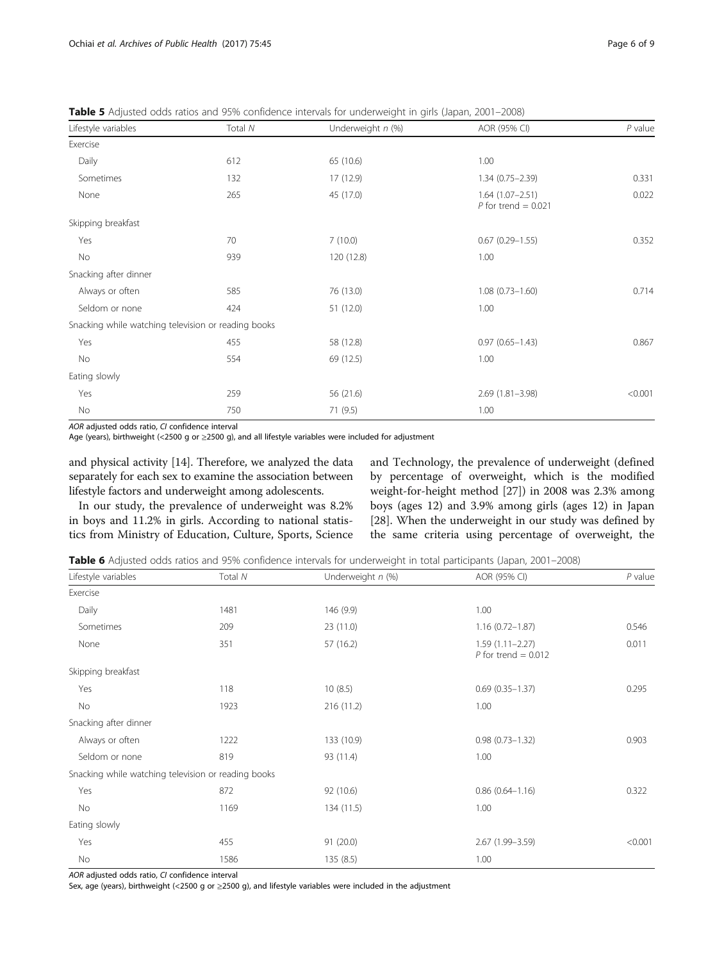<span id="page-5-0"></span>Table 5 Adjusted odds ratios and 95% confidence intervals for underweight in girls (Japan, 2001–2008)

| Lifestyle variables                                 | Total N | Underweight n (%) | AOR (95% CI)                                 | $P$ value |
|-----------------------------------------------------|---------|-------------------|----------------------------------------------|-----------|
| Exercise                                            |         |                   |                                              |           |
| Daily                                               | 612     | 65 (10.6)         | 1.00                                         |           |
| Sometimes                                           | 132     | 17 (12.9)         | $1.34(0.75 - 2.39)$                          | 0.331     |
| None                                                | 265     | 45 (17.0)         | $1.64(1.07 - 2.51)$<br>P for trend = $0.021$ | 0.022     |
| Skipping breakfast                                  |         |                   |                                              |           |
| Yes                                                 | 70      | 7(10.0)           | $0.67(0.29 - 1.55)$                          | 0.352     |
| No                                                  | 939     | 120 (12.8)        | 1.00                                         |           |
| Snacking after dinner                               |         |                   |                                              |           |
| Always or often                                     | 585     | 76 (13.0)         | $1.08(0.73 - 1.60)$                          | 0.714     |
| Seldom or none                                      | 424     | 51 (12.0)         | 1.00                                         |           |
| Snacking while watching television or reading books |         |                   |                                              |           |
| Yes                                                 | 455     | 58 (12.8)         | $0.97(0.65 - 1.43)$                          | 0.867     |
| No                                                  | 554     | 69 (12.5)         | 1.00                                         |           |
| Eating slowly                                       |         |                   |                                              |           |
| Yes                                                 | 259     | 56 (21.6)         | $2.69(1.81 - 3.98)$                          | < 0.001   |
| <b>No</b>                                           | 750     | 71 (9.5)          | 1.00                                         |           |

AOR adjusted odds ratio, CI confidence interval

Age (years), birthweight (<2500 g or ≥2500 g), and all lifestyle variables were included for adjustment

and physical activity [\[14\]](#page-7-0). Therefore, we analyzed the data separately for each sex to examine the association between lifestyle factors and underweight among adolescents.

In our study, the prevalence of underweight was 8.2% in boys and 11.2% in girls. According to national statistics from Ministry of Education, Culture, Sports, Science

and Technology, the prevalence of underweight (defined by percentage of overweight, which is the modified weight-for-height method [[27\]](#page-7-0)) in 2008 was 2.3% among boys (ages 12) and 3.9% among girls (ages 12) in Japan [[28\]](#page-7-0). When the underweight in our study was defined by the same criteria using percentage of overweight, the

Table 6 Adjusted odds ratios and 95% confidence intervals for underweight in total participants (Japan, 2001–2008)

| Lifestyle variables                                 | Total N | Underweight n (%) | AOR (95% CI)                                 | $P$ value |
|-----------------------------------------------------|---------|-------------------|----------------------------------------------|-----------|
| Exercise                                            |         |                   |                                              |           |
| Daily                                               | 1481    | 146 (9.9)         | 1.00                                         |           |
| Sometimes                                           | 209     | 23 (11.0)         | $1.16(0.72 - 1.87)$                          | 0.546     |
| None                                                | 351     | 57 (16.2)         | $1.59(1.11 - 2.27)$<br>P for trend = $0.012$ | 0.011     |
| Skipping breakfast                                  |         |                   |                                              |           |
| Yes                                                 | 118     | 10(8.5)           | $0.69(0.35 - 1.37)$                          | 0.295     |
| No                                                  | 1923    | 216(11.2)         | 1.00                                         |           |
| Snacking after dinner                               |         |                   |                                              |           |
| Always or often                                     | 1222    | 133 (10.9)        | $0.98(0.73 - 1.32)$                          | 0.903     |
| Seldom or none                                      | 819     | 93 (11.4)         | 1.00                                         |           |
| Snacking while watching television or reading books |         |                   |                                              |           |
| Yes                                                 | 872     | 92 (10.6)         | $0.86$ $(0.64 - 1.16)$                       | 0.322     |
| No                                                  | 1169    | 134 (11.5)        | 1.00                                         |           |
| Eating slowly                                       |         |                   |                                              |           |
| Yes                                                 | 455     | 91 (20.0)         | 2.67 (1.99-3.59)                             | < 0.001   |
| No                                                  | 1586    | 135 (8.5)         | 1.00                                         |           |

AOR adjusted odds ratio, CI confidence interval

Sex, age (years), birthweight (<2500 g or ≥2500 g), and lifestyle variables were included in the adjustment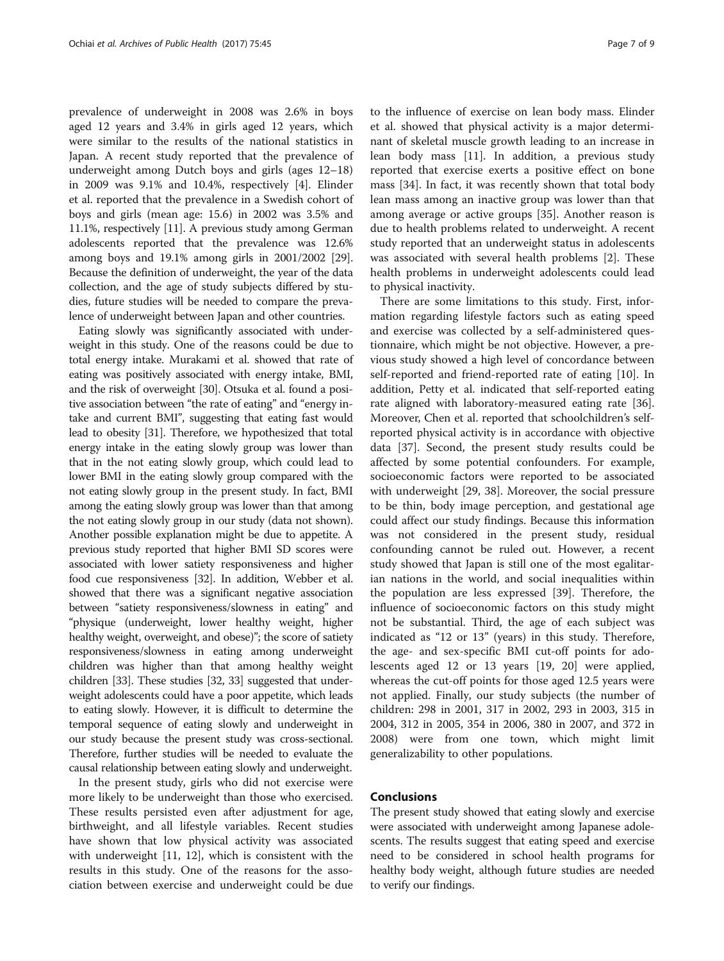prevalence of underweight in 2008 was 2.6% in boys aged 12 years and 3.4% in girls aged 12 years, which were similar to the results of the national statistics in Japan. A recent study reported that the prevalence of underweight among Dutch boys and girls (ages 12–18) in 2009 was 9.1% and 10.4%, respectively [[4\]](#page-7-0). Elinder et al. reported that the prevalence in a Swedish cohort of boys and girls (mean age: 15.6) in 2002 was 3.5% and 11.1%, respectively [[11](#page-7-0)]. A previous study among German adolescents reported that the prevalence was 12.6% among boys and 19.1% among girls in 2001/2002 [[29](#page-7-0)]. Because the definition of underweight, the year of the data collection, and the age of study subjects differed by studies, future studies will be needed to compare the prevalence of underweight between Japan and other countries.

Eating slowly was significantly associated with underweight in this study. One of the reasons could be due to total energy intake. Murakami et al. showed that rate of eating was positively associated with energy intake, BMI, and the risk of overweight [[30](#page-7-0)]. Otsuka et al. found a positive association between "the rate of eating" and "energy intake and current BMI", suggesting that eating fast would lead to obesity [[31](#page-8-0)]. Therefore, we hypothesized that total energy intake in the eating slowly group was lower than that in the not eating slowly group, which could lead to lower BMI in the eating slowly group compared with the not eating slowly group in the present study. In fact, BMI among the eating slowly group was lower than that among the not eating slowly group in our study (data not shown). Another possible explanation might be due to appetite. A previous study reported that higher BMI SD scores were associated with lower satiety responsiveness and higher food cue responsiveness [[32](#page-8-0)]. In addition, Webber et al. showed that there was a significant negative association between "satiety responsiveness/slowness in eating" and "physique (underweight, lower healthy weight, higher healthy weight, overweight, and obese)"; the score of satiety responsiveness/slowness in eating among underweight children was higher than that among healthy weight children [\[33\]](#page-8-0). These studies [\[32, 33\]](#page-8-0) suggested that underweight adolescents could have a poor appetite, which leads to eating slowly. However, it is difficult to determine the temporal sequence of eating slowly and underweight in our study because the present study was cross-sectional. Therefore, further studies will be needed to evaluate the causal relationship between eating slowly and underweight.

In the present study, girls who did not exercise were more likely to be underweight than those who exercised. These results persisted even after adjustment for age, birthweight, and all lifestyle variables. Recent studies have shown that low physical activity was associated with underweight [[11, 12\]](#page-7-0), which is consistent with the results in this study. One of the reasons for the association between exercise and underweight could be due

to the influence of exercise on lean body mass. Elinder et al. showed that physical activity is a major determinant of skeletal muscle growth leading to an increase in lean body mass [[11\]](#page-7-0). In addition, a previous study reported that exercise exerts a positive effect on bone mass [[34\]](#page-8-0). In fact, it was recently shown that total body lean mass among an inactive group was lower than that among average or active groups [[35\]](#page-8-0). Another reason is due to health problems related to underweight. A recent study reported that an underweight status in adolescents was associated with several health problems [[2\]](#page-7-0). These health problems in underweight adolescents could lead to physical inactivity.

There are some limitations to this study. First, information regarding lifestyle factors such as eating speed and exercise was collected by a self-administered questionnaire, which might be not objective. However, a previous study showed a high level of concordance between self-reported and friend-reported rate of eating [[10](#page-7-0)]. In addition, Petty et al. indicated that self-reported eating rate aligned with laboratory-measured eating rate [\[36](#page-8-0)]. Moreover, Chen et al. reported that schoolchildren's selfreported physical activity is in accordance with objective data [\[37](#page-8-0)]. Second, the present study results could be affected by some potential confounders. For example, socioeconomic factors were reported to be associated with underweight [\[29](#page-7-0), [38\]](#page-8-0). Moreover, the social pressure to be thin, body image perception, and gestational age could affect our study findings. Because this information was not considered in the present study, residual confounding cannot be ruled out. However, a recent study showed that Japan is still one of the most egalitarian nations in the world, and social inequalities within the population are less expressed [[39](#page-8-0)]. Therefore, the influence of socioeconomic factors on this study might not be substantial. Third, the age of each subject was indicated as "12 or 13" (years) in this study. Therefore, the age- and sex-specific BMI cut-off points for adolescents aged 12 or 13 years [\[19](#page-7-0), [20](#page-7-0)] were applied, whereas the cut-off points for those aged 12.5 years were not applied. Finally, our study subjects (the number of children: 298 in 2001, 317 in 2002, 293 in 2003, 315 in 2004, 312 in 2005, 354 in 2006, 380 in 2007, and 372 in 2008) were from one town, which might limit generalizability to other populations.

## **Conclusions**

The present study showed that eating slowly and exercise were associated with underweight among Japanese adolescents. The results suggest that eating speed and exercise need to be considered in school health programs for healthy body weight, although future studies are needed to verify our findings.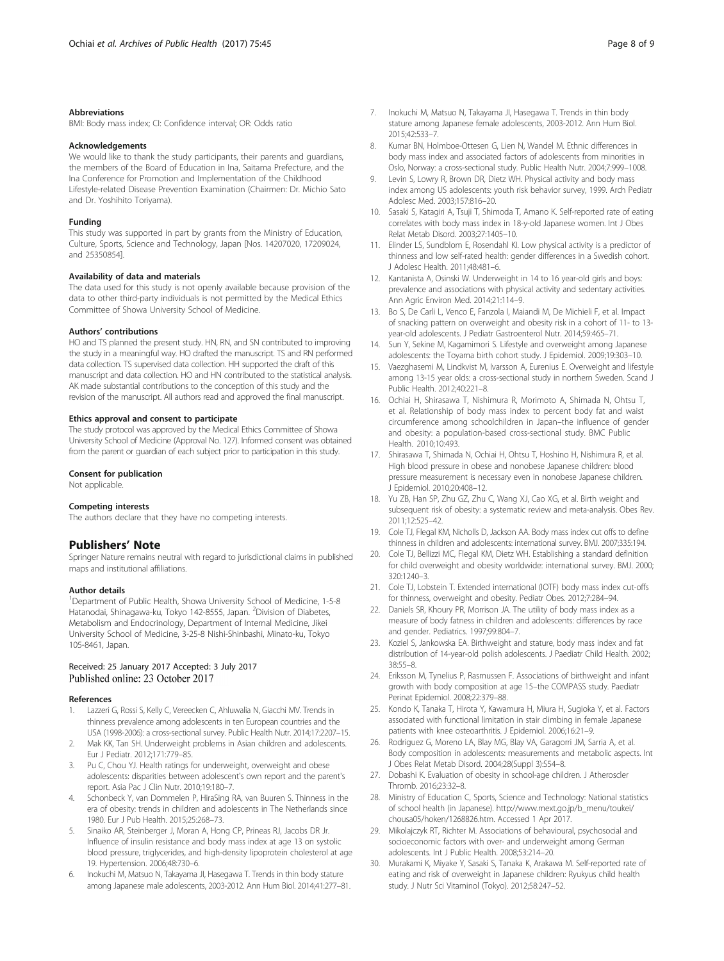#### <span id="page-7-0"></span>Abbreviations

BMI: Body mass index; CI: Confidence interval; OR: Odds ratio

#### Acknowledgements

We would like to thank the study participants, their parents and guardians, the members of the Board of Education in Ina, Saitama Prefecture, and the Ina Conference for Promotion and Implementation of the Childhood Lifestyle-related Disease Prevention Examination (Chairmen: Dr. Michio Sato and Dr. Yoshihito Toriyama).

#### Funding

This study was supported in part by grants from the Ministry of Education, Culture, Sports, Science and Technology, Japan [Nos. 14207020, 17209024, and 25350854].

#### Availability of data and materials

The data used for this study is not openly available because provision of the data to other third-party individuals is not permitted by the Medical Ethics Committee of Showa University School of Medicine.

#### Authors' contributions

HO and TS planned the present study. HN, RN, and SN contributed to improving the study in a meaningful way. HO drafted the manuscript. TS and RN performed data collection. TS supervised data collection. HH supported the draft of this manuscript and data collection. HO and HN contributed to the statistical analysis. AK made substantial contributions to the conception of this study and the revision of the manuscript. All authors read and approved the final manuscript.

#### Ethics approval and consent to participate

The study protocol was approved by the Medical Ethics Committee of Showa University School of Medicine (Approval No. 127). Informed consent was obtained from the parent or guardian of each subject prior to participation in this study.

#### Consent for publication

Not applicable.

#### Competing interests

The authors declare that they have no competing interests.

## Publishers' Note

Springer Nature remains neutral with regard to jurisdictional claims in published maps and institutional affiliations.

#### Author details

<sup>1</sup>Department of Public Health, Showa University School of Medicine, 1-5-8 Hatanodai, Shinagawa-ku, Tokyo 142-8555, Japan. <sup>2</sup>Division of Diabetes, Metabolism and Endocrinology, Department of Internal Medicine, Jikei University School of Medicine, 3-25-8 Nishi-Shinbashi, Minato-ku, Tokyo 105-8461, Japan.

#### Received: 25 January 2017 Accepted: 3 July 2017 Published online: 23 October 2017

#### References

- Lazzeri G, Rossi S, Kelly C, Vereecken C, Ahluwalia N, Giacchi MV. Trends in thinness prevalence among adolescents in ten European countries and the USA (1998-2006): a cross-sectional survey. Public Health Nutr. 2014;17:2207–15.
- 2. Mak KK, Tan SH. Underweight problems in Asian children and adolescents. Eur J Pediatr. 2012;171:779–85.
- Pu C, Chou YJ. Health ratings for underweight, overweight and obese adolescents: disparities between adolescent's own report and the parent's report. Asia Pac J Clin Nutr. 2010;19:180–7.
- 4. Schonbeck Y, van Dommelen P, HiraSing RA, van Buuren S. Thinness in the era of obesity: trends in children and adolescents in The Netherlands since 1980. Eur J Pub Health. 2015;25:268–73.
- 5. Sinaiko AR, Steinberger J, Moran A, Hong CP, Prineas RJ, Jacobs DR Jr. Influence of insulin resistance and body mass index at age 13 on systolic blood pressure, triglycerides, and high-density lipoprotein cholesterol at age 19. Hypertension. 2006;48:730–6.
- Inokuchi M, Matsuo N, Takayama JI, Hasegawa T. Trends in thin body stature among Japanese male adolescents, 2003-2012. Ann Hum Biol. 2014;41:277–81.
- 7. Inokuchi M, Matsuo N, Takayama JI, Hasegawa T. Trends in thin body stature among Japanese female adolescents, 2003-2012. Ann Hum Biol. 2015;42:533–7.
- Kumar BN, Holmboe-Ottesen G, Lien N, Wandel M. Ethnic differences in body mass index and associated factors of adolescents from minorities in Oslo, Norway: a cross-sectional study. Public Health Nutr. 2004;7:999–1008.
- 9. Levin S, Lowry R, Brown DR, Dietz WH. Physical activity and body mass index among US adolescents: youth risk behavior survey, 1999. Arch Pediatr Adolesc Med. 2003;157:816–20.
- 10. Sasaki S, Katagiri A, Tsuji T, Shimoda T, Amano K. Self-reported rate of eating correlates with body mass index in 18-y-old Japanese women. Int J Obes Relat Metab Disord. 2003;27:1405–10.
- 11. Elinder LS, Sundblom E, Rosendahl KI. Low physical activity is a predictor of thinness and low self-rated health: gender differences in a Swedish cohort. J Adolesc Health. 2011;48:481–6.
- 12. Kantanista A, Osinski W. Underweight in 14 to 16 year-old girls and boys: prevalence and associations with physical activity and sedentary activities. Ann Agric Environ Med. 2014;21:114–9.
- 13. Bo S, De Carli L, Venco E, Fanzola I, Maiandi M, De Michieli F, et al. Impact of snacking pattern on overweight and obesity risk in a cohort of 11- to 13 year-old adolescents. J Pediatr Gastroenterol Nutr. 2014;59:465–71.
- 14. Sun Y, Sekine M, Kagamimori S. Lifestyle and overweight among Japanese adolescents: the Toyama birth cohort study. J Epidemiol. 2009;19:303–10.
- 15. Vaezghasemi M, Lindkvist M, Ivarsson A, Eurenius E. Overweight and lifestyle among 13-15 year olds: a cross-sectional study in northern Sweden. Scand J Public Health. 2012;40:221–8.
- 16. Ochiai H, Shirasawa T, Nishimura R, Morimoto A, Shimada N, Ohtsu T, et al. Relationship of body mass index to percent body fat and waist circumference among schoolchildren in Japan–the influence of gender and obesity: a population-based cross-sectional study. BMC Public Health. 2010;10:493.
- 17. Shirasawa T, Shimada N, Ochiai H, Ohtsu T, Hoshino H, Nishimura R, et al. High blood pressure in obese and nonobese Japanese children: blood pressure measurement is necessary even in nonobese Japanese children. J Epidemiol. 2010;20:408–12.
- 18. Yu ZB, Han SP, Zhu GZ, Zhu C, Wang XJ, Cao XG, et al. Birth weight and subsequent risk of obesity: a systematic review and meta-analysis. Obes Rev. 2011;12:525–42.
- 19. Cole TJ, Flegal KM, Nicholls D, Jackson AA. Body mass index cut offs to define thinness in children and adolescents: international survey. BMJ. 2007;335:194.
- 20. Cole TJ, Bellizzi MC, Flegal KM, Dietz WH. Establishing a standard definition for child overweight and obesity worldwide: international survey. BMJ. 2000; 320:1240–3.
- 21. Cole TJ, Lobstein T. Extended international (IOTF) body mass index cut-offs for thinness, overweight and obesity. Pediatr Obes. 2012;7:284–94.
- 22. Daniels SR, Khoury PR, Morrison JA. The utility of body mass index as a measure of body fatness in children and adolescents: differences by race and gender. Pediatrics. 1997;99:804–7.
- 23. Koziel S, Jankowska EA. Birthweight and stature, body mass index and fat distribution of 14-year-old polish adolescents. J Paediatr Child Health. 2002; 38:55–8.
- 24. Eriksson M, Tynelius P, Rasmussen F. Associations of birthweight and infant growth with body composition at age 15–the COMPASS study. Paediatr Perinat Epidemiol. 2008;22:379–88.
- 25. Kondo K, Tanaka T, Hirota Y, Kawamura H, Miura H, Sugioka Y, et al. Factors associated with functional limitation in stair climbing in female Japanese patients with knee osteoarthritis. J Epidemiol. 2006;16:21–9.
- 26. Rodriguez G, Moreno LA, Blay MG, Blay VA, Garagorri JM, Sarria A, et al. Body composition in adolescents: measurements and metabolic aspects. Int J Obes Relat Metab Disord. 2004;28(Suppl 3):S54–8.
- 27. Dobashi K. Evaluation of obesity in school-age children. J Atheroscler Thromb. 2016;23:32–8.
- 28. Ministry of Education C, Sports, Science and Technology: National statistics of school health (in Japanese). [http://www.mext.go.jp/b\\_menu/toukei/](http://www.mext.go.jp/b_menu/toukei/chousa05/hoken/1268826.htm) [chousa05/hoken/1268826.htm](http://www.mext.go.jp/b_menu/toukei/chousa05/hoken/1268826.htm). Accessed 1 Apr 2017.
- 29. Mikolajczyk RT, Richter M. Associations of behavioural, psychosocial and socioeconomic factors with over- and underweight among German adolescents. Int J Public Health. 2008;53:214–20.
- 30. Murakami K, Miyake Y, Sasaki S, Tanaka K, Arakawa M. Self-reported rate of eating and risk of overweight in Japanese children: Ryukyus child health study. J Nutr Sci Vitaminol (Tokyo). 2012;58:247–52.